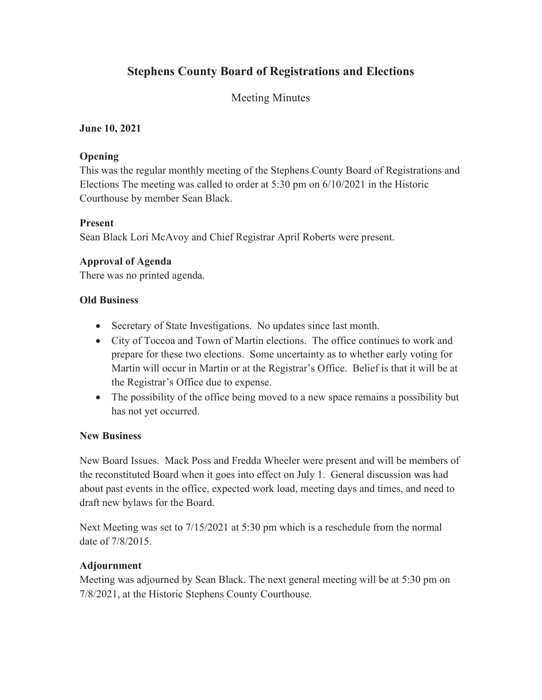# **Stephens County Board of Registrations and Elections**

# Meeting Minutes

#### **June 10, 2021**

#### **Opening**

This was the regular monthly meeting of the Stephens County Board of Registrations and Elections The meeting was called to order at 5:30 pm on 6/10/2021 in the Historic Courthouse by member Sean Black.

#### **Present**

Sean Black Lori McAvoy and Chief Registrar April Roberts were present.

## **Approval of Agenda**

There was no printed agenda.

#### **Old Business**

- Secretary of State Investigations. No updates since last month.
- City of Toccoa and Town of Martin elections. The office continues to work and prepare for these two elections. Some uncertainty as to whether early voting for Martin will occur in Martin or at the Registrar's Office. Belief is that it will be at the Registrar's Office due to expense.
- The possibility of the office being moved to a new space remains a possibility but has not yet occurred.

#### **New Business**

New Board Issues. Mack Poss and Fredda Wheeler were present and will be members of the reconstituted Board when it goes into effect on July 1. General discussion was had about past events in the office, expected work load, meeting days and times, and need to draft new bylaws for the Board.

Next Meeting was set to 7/15/2021 at 5:30 pm which is a reschedule from the normal date of 7/8/2015.

## **Adjournment**

Meeting was adjourned by Sean Black. The next general meeting will be at 5:30 pm on 7/8/2021, at the Historic Stephens County Courthouse.